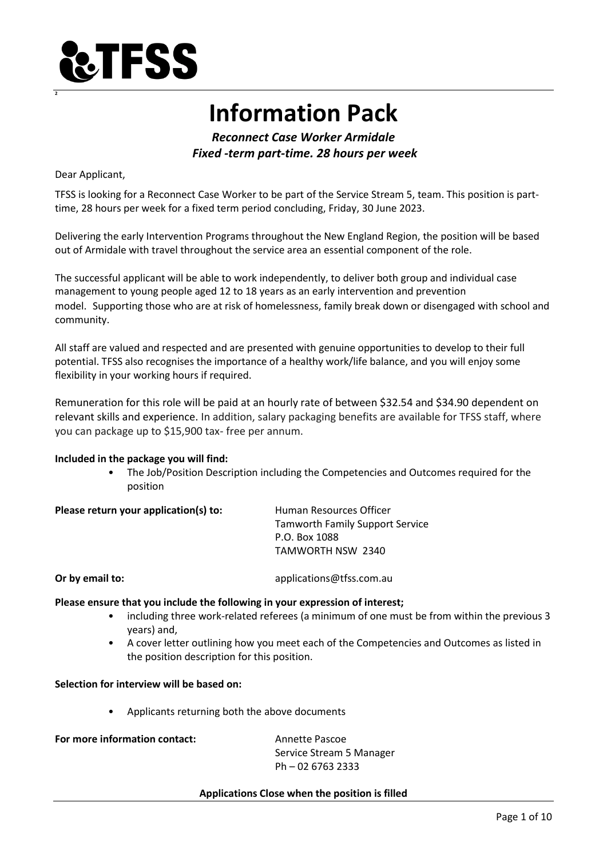

# **Information Pack**

*Reconnect Case Worker Armidale Fixed -term part-time. 28 hours per week*

Dear Applicant,

**2**

TFSS is looking for a Reconnect Case Worker to be part of the Service Stream 5, team. This position is parttime, 28 hours per week for a fixed term period concluding, Friday, 30 June 2023.

Delivering the early Intervention Programs throughout the New England Region, the position will be based out of Armidale with travel throughout the service area an essential component of the role.

The successful applicant will be able to work independently, to deliver both group and individual case management to young people aged 12 to 18 years as an early intervention and prevention model. Supporting those who are at risk of homelessness, family break down or disengaged with school and community.

All staff are valued and respected and are presented with genuine opportunities to develop to their full potential. TFSS also recognises the importance of a healthy work/life balance, and you will enjoy some flexibility in your working hours if required.

Remuneration for this role will be paid at an hourly rate of between \$32.54 and \$34.90 dependent on relevant skills and experience. In addition, salary packaging benefits are available for TFSS staff, where you can package up to \$15,900 tax- free per annum.

#### **Included in the package you will find:**

• The Job/Position Description including the Competencies and Outcomes required for the position

| Please return your application(s) to: | Human Resources Officer                |
|---------------------------------------|----------------------------------------|
|                                       | <b>Tamworth Family Support Service</b> |
|                                       | P.O. Box 1088                          |
|                                       | TAMWORTH NSW 2340                      |

**Or by email to:** applications@tfss.com.au

#### **Please ensure that you include the following in your expression of interest;**

- including three work-related referees (a minimum of one must be from within the previous 3 years) and,
- A cover letter outlining how you meet each of the Competencies and Outcomes as listed in the position description for this position.

**Selection for interview will be based on:**

• Applicants returning both the above documents

**For more information contact:** Annette Pascoe

Service Stream 5 Manager Ph – 02 6763 2333

#### **Applications Close when the position is filled**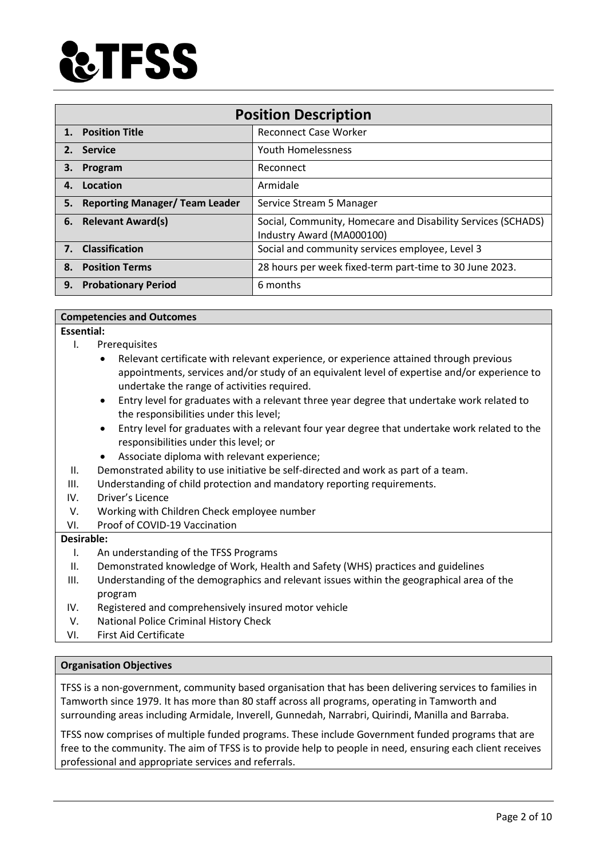

| <b>Position Description</b> |                                       |                                                                                           |
|-----------------------------|---------------------------------------|-------------------------------------------------------------------------------------------|
|                             | 1. Position Title                     | <b>Reconnect Case Worker</b>                                                              |
|                             | 2. Service                            | <b>Youth Homelessness</b>                                                                 |
| З.                          | Program                               | Reconnect                                                                                 |
| 4.                          | Location                              | Armidale                                                                                  |
| 5.                          | <b>Reporting Manager/ Team Leader</b> | Service Stream 5 Manager                                                                  |
|                             | 6. Relevant Award(s)                  | Social, Community, Homecare and Disability Services (SCHADS)<br>Industry Award (MA000100) |
|                             | 7. Classification                     | Social and community services employee, Level 3                                           |
| 8.                          | <b>Position Terms</b>                 | 28 hours per week fixed-term part-time to 30 June 2023.                                   |
| 9.                          | <b>Probationary Period</b>            | 6 months                                                                                  |

#### **Competencies and Outcomes**

**Essential:** 

- I. Prerequisites
	- Relevant certificate with relevant experience, or experience attained through previous appointments, services and/or study of an equivalent level of expertise and/or experience to undertake the range of activities required.
	- Entry level for graduates with a relevant three year degree that undertake work related to the responsibilities under this level;
	- Entry level for graduates with a relevant four year degree that undertake work related to the responsibilities under this level; or
	- Associate diploma with relevant experience;
- II. Demonstrated ability to use initiative be self-directed and work as part of a team.
- III. Understanding of child protection and mandatory reporting requirements.
- IV. Driver's Licence
- V. Working with Children Check employee number
- VI. Proof of COVID-19 Vaccination

## **Desirable:**

- I. An understanding of the TFSS Programs
- II. Demonstrated knowledge of Work, Health and Safety (WHS) practices and guidelines
- III. Understanding of the demographics and relevant issues within the geographical area of the program
- IV. Registered and comprehensively insured motor vehicle
- V. National Police Criminal History Check
- VI. First Aid Certificate

#### **Organisation Objectives**

TFSS is a non-government, community based organisation that has been delivering services to families in Tamworth since 1979. It has more than 80 staff across all programs, operating in Tamworth and surrounding areas including Armidale, Inverell, Gunnedah, Narrabri, Quirindi, Manilla and Barraba.

TFSS now comprises of multiple funded programs. These include Government funded programs that are free to the community. The aim of TFSS is to provide help to people in need, ensuring each client receives professional and appropriate services and referrals.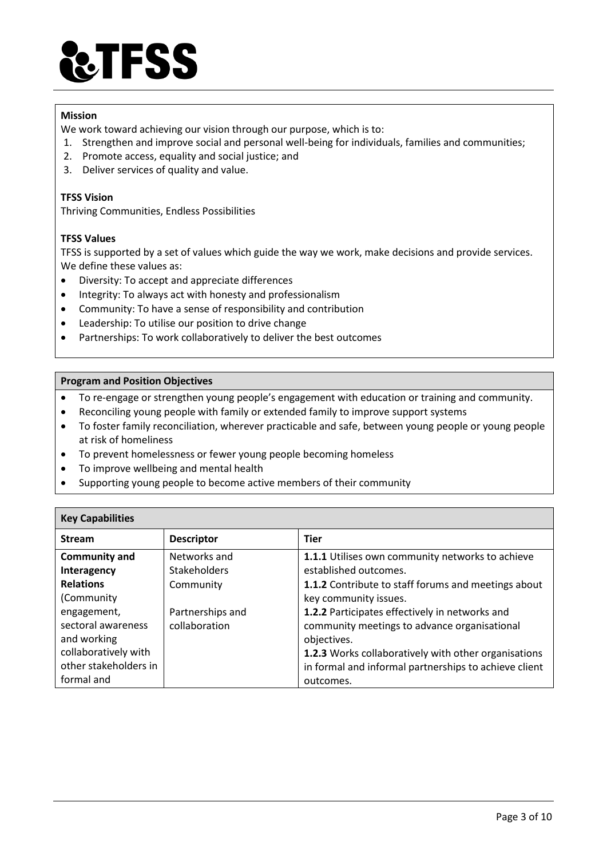

#### **Mission**

We work toward achieving our vision through our purpose, which is to:

- 1. Strengthen and improve social and personal well-being for individuals, families and communities;
- 2. Promote access, equality and social justice; and
- 3. Deliver services of quality and value.

### **TFSS Vision**

Thriving Communities, Endless Possibilities

### **TFSS Values**

TFSS is supported by a set of values which guide the way we work, make decisions and provide services. We define these values as:

- Diversity: To accept and appreciate differences
- Integrity: To always act with honesty and professionalism
- Community: To have a sense of responsibility and contribution
- Leadership: To utilise our position to drive change
- Partnerships: To work collaboratively to deliver the best outcomes

#### **Program and Position Objectives**

- To re-engage or strengthen young people's engagement with education or training and community.
- Reconciling young people with family or extended family to improve support systems
- To foster family reconciliation, wherever practicable and safe, between young people or young people at risk of homeliness
- To prevent homelessness or fewer young people becoming homeless
- To improve wellbeing and mental health
- Supporting young people to become active members of their community

| <b>Key Capabilities</b> |                   |                                                       |  |
|-------------------------|-------------------|-------------------------------------------------------|--|
| <b>Stream</b>           | <b>Descriptor</b> | <b>Tier</b>                                           |  |
| <b>Community and</b>    | Networks and      | 1.1.1 Utilises own community networks to achieve      |  |
| Interagency             | Stakeholders      | established outcomes.                                 |  |
| <b>Relations</b>        | Community         | 1.1.2 Contribute to staff forums and meetings about   |  |
| (Community              |                   | key community issues.                                 |  |
| engagement,             | Partnerships and  | 1.2.2 Participates effectively in networks and        |  |
| sectoral awareness      | collaboration     | community meetings to advance organisational          |  |
| and working             |                   | objectives.                                           |  |
| collaboratively with    |                   | 1.2.3 Works collaboratively with other organisations  |  |
| other stakeholders in   |                   | in formal and informal partnerships to achieve client |  |
| formal and              |                   | outcomes.                                             |  |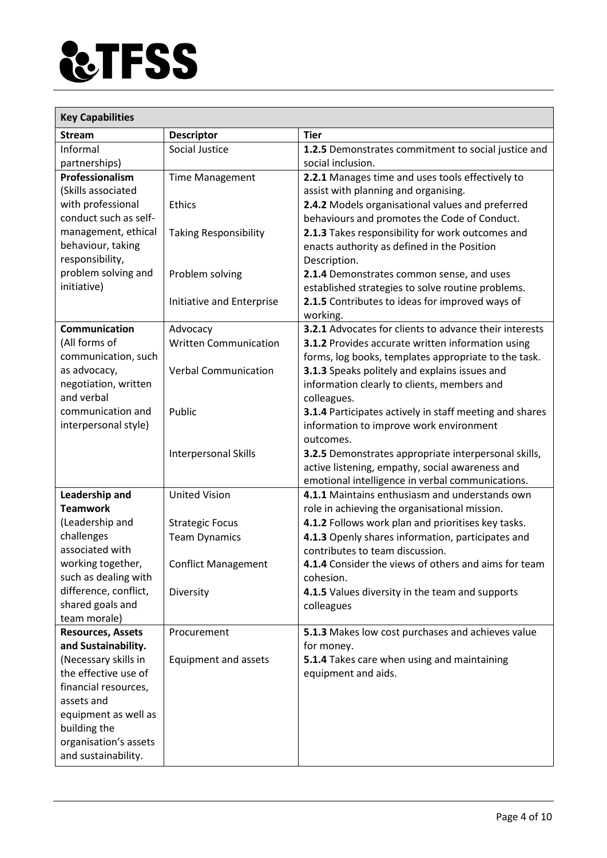

| <b>Key Capabilities</b>                   |                              |                                                               |  |
|-------------------------------------------|------------------------------|---------------------------------------------------------------|--|
| <b>Stream</b>                             | <b>Descriptor</b>            | <b>Tier</b>                                                   |  |
| Informal                                  | Social Justice               | 1.2.5 Demonstrates commitment to social justice and           |  |
| partnerships)                             |                              | social inclusion.                                             |  |
| Professionalism                           | <b>Time Management</b>       | 2.2.1 Manages time and uses tools effectively to              |  |
| (Skills associated                        |                              | assist with planning and organising.                          |  |
| with professional                         | <b>Ethics</b>                | 2.4.2 Models organisational values and preferred              |  |
| conduct such as self-                     |                              | behaviours and promotes the Code of Conduct.                  |  |
| management, ethical                       | <b>Taking Responsibility</b> | 2.1.3 Takes responsibility for work outcomes and              |  |
| behaviour, taking                         |                              | enacts authority as defined in the Position                   |  |
| responsibility,                           |                              | Description.                                                  |  |
| problem solving and<br>initiative)        | Problem solving              | 2.1.4 Demonstrates common sense, and uses                     |  |
|                                           |                              | established strategies to solve routine problems.             |  |
|                                           | Initiative and Enterprise    | 2.1.5 Contributes to ideas for improved ways of<br>working.   |  |
| Communication                             | Advocacy                     | <b>3.2.1</b> Advocates for clients to advance their interests |  |
| (All forms of                             | <b>Written Communication</b> | 3.1.2 Provides accurate written information using             |  |
| communication, such                       |                              | forms, log books, templates appropriate to the task.          |  |
| as advocacy,                              | <b>Verbal Communication</b>  | 3.1.3 Speaks politely and explains issues and                 |  |
| negotiation, written                      |                              | information clearly to clients, members and                   |  |
| and verbal                                |                              | colleagues.                                                   |  |
| communication and                         | Public                       | 3.1.4 Participates actively in staff meeting and shares       |  |
| interpersonal style)                      |                              | information to improve work environment                       |  |
|                                           |                              | outcomes.                                                     |  |
|                                           | Interpersonal Skills         | 3.2.5 Demonstrates appropriate interpersonal skills,          |  |
|                                           |                              | active listening, empathy, social awareness and               |  |
|                                           |                              | emotional intelligence in verbal communications.              |  |
| Leadership and                            | <b>United Vision</b>         | 4.1.1 Maintains enthusiasm and understands own                |  |
| <b>Teamwork</b>                           |                              | role in achieving the organisational mission.                 |  |
| (Leadership and                           | <b>Strategic Focus</b>       | 4.1.2 Follows work plan and prioritises key tasks.            |  |
| challenges                                | <b>Team Dynamics</b>         | 4.1.3 Openly shares information, participates and             |  |
| associated with                           |                              | contributes to team discussion.                               |  |
| working together,<br>such as dealing with | <b>Conflict Management</b>   | 4.1.4 Consider the views of others and aims for team          |  |
| difference, conflict,                     |                              | cohesion.                                                     |  |
| shared goals and                          | Diversity                    | 4.1.5 Values diversity in the team and supports<br>colleagues |  |
| team morale)                              |                              |                                                               |  |
| <b>Resources, Assets</b>                  | Procurement                  | 5.1.3 Makes low cost purchases and achieves value             |  |
| and Sustainability.                       |                              | for money.                                                    |  |
| (Necessary skills in                      | Equipment and assets         | 5.1.4 Takes care when using and maintaining                   |  |
| the effective use of                      |                              | equipment and aids.                                           |  |
| financial resources,                      |                              |                                                               |  |
| assets and                                |                              |                                                               |  |
| equipment as well as                      |                              |                                                               |  |
| building the                              |                              |                                                               |  |
| organisation's assets                     |                              |                                                               |  |
| and sustainability.                       |                              |                                                               |  |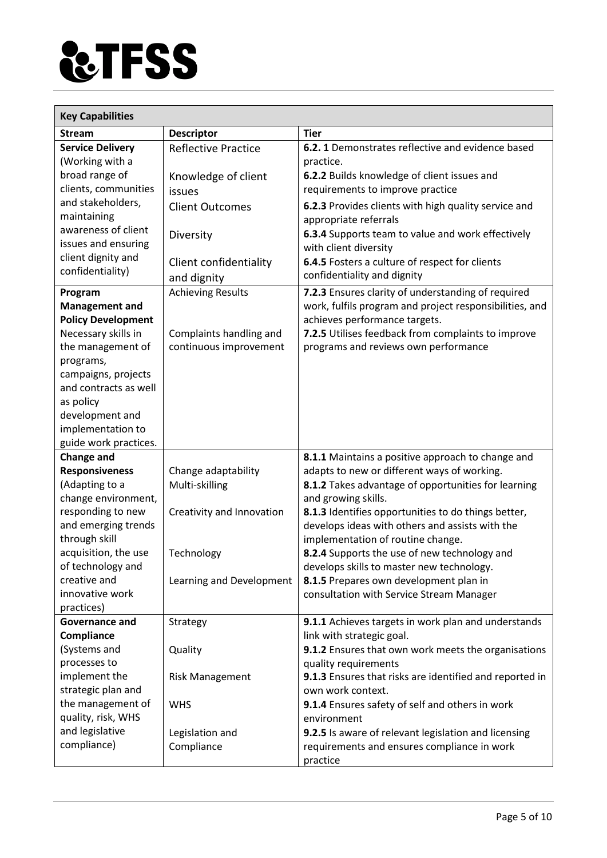

| <b>Key Capabilities</b>      |                            |                                                         |  |
|------------------------------|----------------------------|---------------------------------------------------------|--|
| <b>Stream</b>                | <b>Descriptor</b>          | <b>Tier</b>                                             |  |
| <b>Service Delivery</b>      | <b>Reflective Practice</b> | 6.2.1 Demonstrates reflective and evidence based        |  |
| (Working with a              |                            | practice.                                               |  |
| broad range of               | Knowledge of client        | 6.2.2 Builds knowledge of client issues and             |  |
| clients, communities         | issues                     | requirements to improve practice                        |  |
| and stakeholders,            | <b>Client Outcomes</b>     | 6.2.3 Provides clients with high quality service and    |  |
| maintaining                  |                            | appropriate referrals                                   |  |
| awareness of client          | Diversity                  | 6.3.4 Supports team to value and work effectively       |  |
| issues and ensuring          |                            | with client diversity                                   |  |
| client dignity and           | Client confidentiality     | 6.4.5 Fosters a culture of respect for clients          |  |
| confidentiality)             | and dignity                | confidentiality and dignity                             |  |
| Program                      | <b>Achieving Results</b>   | 7.2.3 Ensures clarity of understanding of required      |  |
| <b>Management and</b>        |                            | work, fulfils program and project responsibilities, and |  |
| <b>Policy Development</b>    |                            | achieves performance targets.                           |  |
| Necessary skills in          | Complaints handling and    | 7.2.5 Utilises feedback from complaints to improve      |  |
| the management of            | continuous improvement     | programs and reviews own performance                    |  |
| programs,                    |                            |                                                         |  |
| campaigns, projects          |                            |                                                         |  |
| and contracts as well        |                            |                                                         |  |
| as policy                    |                            |                                                         |  |
| development and              |                            |                                                         |  |
| implementation to            |                            |                                                         |  |
| guide work practices.        |                            |                                                         |  |
| <b>Change and</b>            |                            | 8.1.1 Maintains a positive approach to change and       |  |
| <b>Responsiveness</b>        | Change adaptability        | adapts to new or different ways of working.             |  |
| (Adapting to a               | Multi-skilling             | 8.1.2 Takes advantage of opportunities for learning     |  |
| change environment,          |                            | and growing skills.                                     |  |
| responding to new            | Creativity and Innovation  | 8.1.3 Identifies opportunities to do things better,     |  |
| and emerging trends          |                            | develops ideas with others and assists with the         |  |
| through skill                |                            | implementation of routine change.                       |  |
| acquisition, the use         | Technology                 | 8.2.4 Supports the use of new technology and            |  |
| of technology and            |                            | develops skills to master new technology.               |  |
| creative and                 | Learning and Development   | 8.1.5 Prepares own development plan in                  |  |
| innovative work              |                            | consultation with Service Stream Manager                |  |
| practices)<br>Governance and | Strategy                   | 9.1.1 Achieves targets in work plan and understands     |  |
| Compliance                   |                            | link with strategic goal.                               |  |
| (Systems and                 | Quality                    | 9.1.2 Ensures that own work meets the organisations     |  |
| processes to                 |                            | quality requirements                                    |  |
| implement the                | <b>Risk Management</b>     | 9.1.3 Ensures that risks are identified and reported in |  |
| strategic plan and           |                            | own work context.                                       |  |
| the management of            | <b>WHS</b>                 | 9.1.4 Ensures safety of self and others in work         |  |
| quality, risk, WHS           |                            | environment                                             |  |
| and legislative              | Legislation and            | 9.2.5 Is aware of relevant legislation and licensing    |  |
| compliance)                  | Compliance                 | requirements and ensures compliance in work             |  |
|                              |                            | practice                                                |  |
|                              |                            |                                                         |  |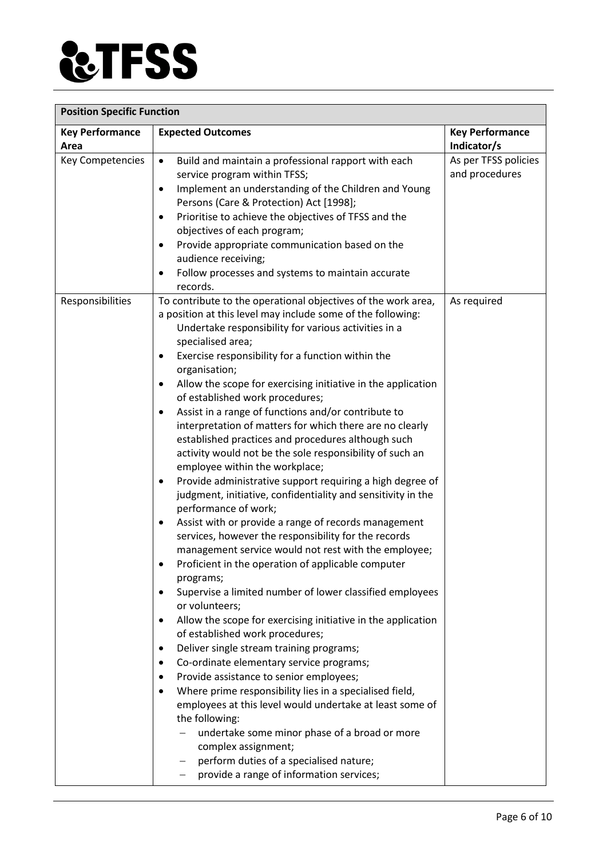

| <b>Position Specific Function</b> |                                                                                                                                                                                                                                                                                                                                                                                                                                                                                                                                                                                                                                                                                                                                                                                                                                                                                                                                                                                                                                                                                                                                                                                                                                                                                                                                                                                                                                                                                                                                                                                                                                                                                                                                                                                              |                                        |  |
|-----------------------------------|----------------------------------------------------------------------------------------------------------------------------------------------------------------------------------------------------------------------------------------------------------------------------------------------------------------------------------------------------------------------------------------------------------------------------------------------------------------------------------------------------------------------------------------------------------------------------------------------------------------------------------------------------------------------------------------------------------------------------------------------------------------------------------------------------------------------------------------------------------------------------------------------------------------------------------------------------------------------------------------------------------------------------------------------------------------------------------------------------------------------------------------------------------------------------------------------------------------------------------------------------------------------------------------------------------------------------------------------------------------------------------------------------------------------------------------------------------------------------------------------------------------------------------------------------------------------------------------------------------------------------------------------------------------------------------------------------------------------------------------------------------------------------------------------|----------------------------------------|--|
| <b>Key Performance</b><br>Area    | <b>Expected Outcomes</b>                                                                                                                                                                                                                                                                                                                                                                                                                                                                                                                                                                                                                                                                                                                                                                                                                                                                                                                                                                                                                                                                                                                                                                                                                                                                                                                                                                                                                                                                                                                                                                                                                                                                                                                                                                     | <b>Key Performance</b><br>Indicator/s  |  |
| Key Competencies                  | Build and maintain a professional rapport with each<br>$\bullet$<br>service program within TFSS;<br>Implement an understanding of the Children and Young<br>$\bullet$<br>Persons (Care & Protection) Act [1998];<br>Prioritise to achieve the objectives of TFSS and the<br>$\bullet$<br>objectives of each program;<br>Provide appropriate communication based on the<br>$\bullet$<br>audience receiving;<br>Follow processes and systems to maintain accurate<br>٠<br>records.                                                                                                                                                                                                                                                                                                                                                                                                                                                                                                                                                                                                                                                                                                                                                                                                                                                                                                                                                                                                                                                                                                                                                                                                                                                                                                             | As per TFSS policies<br>and procedures |  |
| Responsibilities                  | To contribute to the operational objectives of the work area,<br>a position at this level may include some of the following:<br>Undertake responsibility for various activities in a<br>specialised area;<br>Exercise responsibility for a function within the<br>$\bullet$<br>organisation;<br>Allow the scope for exercising initiative in the application<br>٠<br>of established work procedures;<br>Assist in a range of functions and/or contribute to<br>٠<br>interpretation of matters for which there are no clearly<br>established practices and procedures although such<br>activity would not be the sole responsibility of such an<br>employee within the workplace;<br>Provide administrative support requiring a high degree of<br>٠<br>judgment, initiative, confidentiality and sensitivity in the<br>performance of work;<br>Assist with or provide a range of records management<br>٠<br>services, however the responsibility for the records<br>management service would not rest with the employee;<br>Proficient in the operation of applicable computer<br>programs;<br>Supervise a limited number of lower classified employees<br>$\bullet$<br>or volunteers;<br>Allow the scope for exercising initiative in the application<br>$\bullet$<br>of established work procedures;<br>Deliver single stream training programs;<br>$\bullet$<br>Co-ordinate elementary service programs;<br>$\bullet$<br>Provide assistance to senior employees;<br>٠<br>Where prime responsibility lies in a specialised field,<br>$\bullet$<br>employees at this level would undertake at least some of<br>the following:<br>undertake some minor phase of a broad or more<br>complex assignment;<br>perform duties of a specialised nature;<br>provide a range of information services; | As required                            |  |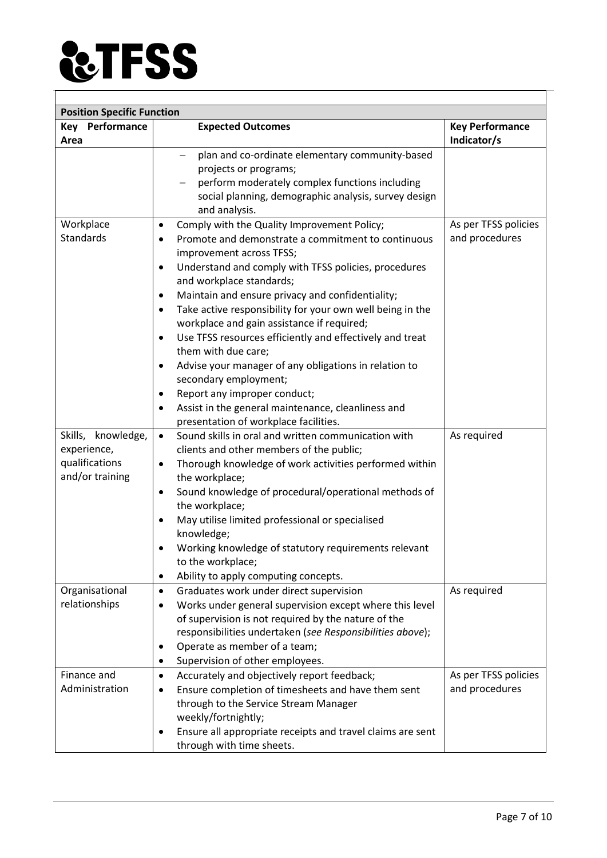

| <b>Position Specific Function</b>                                      |                                                                                                                                                                                                                                                                                                                                                                                                                                                                                                                                                                                                                                                                                                                                                                           |                                        |  |
|------------------------------------------------------------------------|---------------------------------------------------------------------------------------------------------------------------------------------------------------------------------------------------------------------------------------------------------------------------------------------------------------------------------------------------------------------------------------------------------------------------------------------------------------------------------------------------------------------------------------------------------------------------------------------------------------------------------------------------------------------------------------------------------------------------------------------------------------------------|----------------------------------------|--|
| <b>Key Performance</b><br>Area                                         | <b>Expected Outcomes</b>                                                                                                                                                                                                                                                                                                                                                                                                                                                                                                                                                                                                                                                                                                                                                  | <b>Key Performance</b><br>Indicator/s  |  |
|                                                                        | plan and co-ordinate elementary community-based<br>projects or programs;<br>perform moderately complex functions including<br>social planning, demographic analysis, survey design<br>and analysis.                                                                                                                                                                                                                                                                                                                                                                                                                                                                                                                                                                       |                                        |  |
| Workplace<br><b>Standards</b>                                          | Comply with the Quality Improvement Policy;<br>$\bullet$<br>Promote and demonstrate a commitment to continuous<br>$\bullet$<br>improvement across TFSS;<br>Understand and comply with TFSS policies, procedures<br>٠<br>and workplace standards;<br>Maintain and ensure privacy and confidentiality;<br>$\bullet$<br>Take active responsibility for your own well being in the<br>$\bullet$<br>workplace and gain assistance if required;<br>Use TFSS resources efficiently and effectively and treat<br>$\bullet$<br>them with due care;<br>Advise your manager of any obligations in relation to<br>٠<br>secondary employment;<br>Report any improper conduct;<br>٠<br>Assist in the general maintenance, cleanliness and<br>٠<br>presentation of workplace facilities. | As per TFSS policies<br>and procedures |  |
| Skills, knowledge,<br>experience,<br>qualifications<br>and/or training | Sound skills in oral and written communication with<br>$\bullet$<br>clients and other members of the public;<br>Thorough knowledge of work activities performed within<br>$\bullet$<br>the workplace;<br>Sound knowledge of procedural/operational methods of<br>$\bullet$<br>the workplace;<br>May utilise limited professional or specialised<br>knowledge;<br>Working knowledge of statutory requirements relevant<br>to the workplace;<br>Ability to apply computing concepts.<br>$\bullet$                                                                                                                                                                                                                                                                           | As required                            |  |
| Organisational<br>relationships                                        | Graduates work under direct supervision<br>$\bullet$<br>Works under general supervision except where this level<br>٠<br>of supervision is not required by the nature of the<br>responsibilities undertaken (see Responsibilities above);<br>Operate as member of a team;<br>٠<br>Supervision of other employees.<br>٠                                                                                                                                                                                                                                                                                                                                                                                                                                                     | As required                            |  |
| Finance and<br>Administration                                          | Accurately and objectively report feedback;<br>$\bullet$<br>Ensure completion of timesheets and have them sent<br>٠<br>through to the Service Stream Manager<br>weekly/fortnightly;<br>Ensure all appropriate receipts and travel claims are sent<br>through with time sheets.                                                                                                                                                                                                                                                                                                                                                                                                                                                                                            | As per TFSS policies<br>and procedures |  |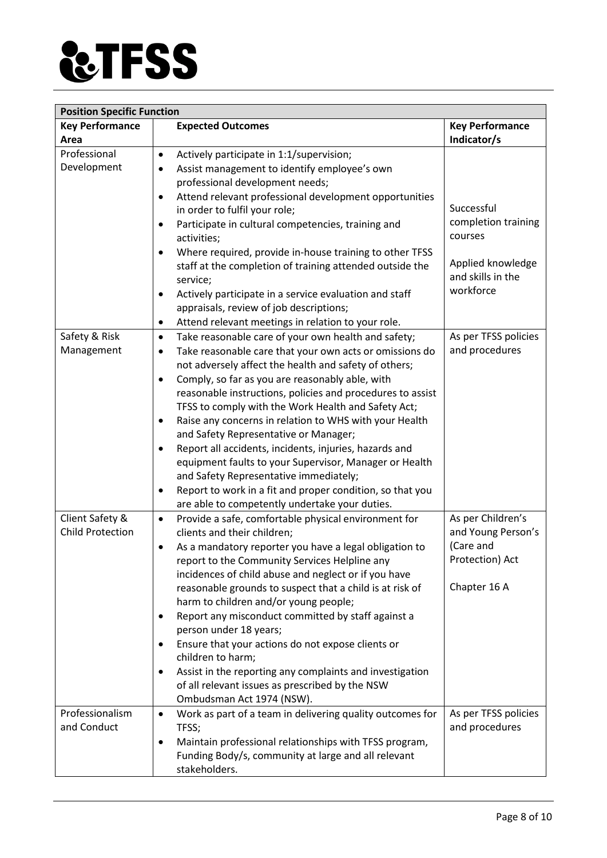

| <b>Position Specific Function</b> |                                                                        |                        |  |
|-----------------------------------|------------------------------------------------------------------------|------------------------|--|
| <b>Key Performance</b>            | <b>Expected Outcomes</b>                                               | <b>Key Performance</b> |  |
| Area                              |                                                                        | Indicator/s            |  |
| Professional                      | Actively participate in 1:1/supervision;<br>$\bullet$                  |                        |  |
| Development                       | Assist management to identify employee's own<br>$\bullet$              |                        |  |
|                                   | professional development needs;                                        |                        |  |
|                                   | Attend relevant professional development opportunities<br>$\bullet$    |                        |  |
|                                   | in order to fulfil your role;                                          | Successful             |  |
|                                   | Participate in cultural competencies, training and<br>٠                | completion training    |  |
|                                   | activities;                                                            | courses                |  |
|                                   | Where required, provide in-house training to other TFSS<br>$\bullet$   |                        |  |
|                                   | staff at the completion of training attended outside the               | Applied knowledge      |  |
|                                   | service;                                                               | and skills in the      |  |
|                                   | Actively participate in a service evaluation and staff<br>$\bullet$    | workforce              |  |
|                                   | appraisals, review of job descriptions;                                |                        |  |
|                                   | Attend relevant meetings in relation to your role.<br>$\bullet$        |                        |  |
| Safety & Risk                     | Take reasonable care of your own health and safety;<br>$\bullet$       | As per TFSS policies   |  |
| Management                        | Take reasonable care that your own acts or omissions do<br>$\bullet$   | and procedures         |  |
|                                   | not adversely affect the health and safety of others;                  |                        |  |
|                                   | Comply, so far as you are reasonably able, with<br>$\bullet$           |                        |  |
|                                   | reasonable instructions, policies and procedures to assist             |                        |  |
|                                   | TFSS to comply with the Work Health and Safety Act;                    |                        |  |
|                                   | Raise any concerns in relation to WHS with your Health<br>$\bullet$    |                        |  |
|                                   | and Safety Representative or Manager;                                  |                        |  |
|                                   | Report all accidents, incidents, injuries, hazards and                 |                        |  |
|                                   | equipment faults to your Supervisor, Manager or Health                 |                        |  |
|                                   | and Safety Representative immediately;                                 |                        |  |
|                                   | Report to work in a fit and proper condition, so that you<br>$\bullet$ |                        |  |
|                                   | are able to competently undertake your duties.                         |                        |  |
| Client Safety &                   | Provide a safe, comfortable physical environment for<br>$\bullet$      | As per Children's      |  |
| <b>Child Protection</b>           | clients and their children;                                            | and Young Person's     |  |
|                                   | As a mandatory reporter you have a legal obligation to<br>٠            | (Care and              |  |
|                                   | report to the Community Services Helpline any                          | Protection) Act        |  |
|                                   | incidences of child abuse and neglect or if you have                   |                        |  |
|                                   | reasonable grounds to suspect that a child is at risk of               | Chapter 16 A           |  |
|                                   | harm to children and/or young people;                                  |                        |  |
|                                   | Report any misconduct committed by staff against a<br>$\bullet$        |                        |  |
|                                   | person under 18 years;                                                 |                        |  |
|                                   | Ensure that your actions do not expose clients or                      |                        |  |
|                                   | children to harm;                                                      |                        |  |
|                                   | Assist in the reporting any complaints and investigation<br>$\bullet$  |                        |  |
|                                   | of all relevant issues as prescribed by the NSW                        |                        |  |
|                                   | Ombudsman Act 1974 (NSW).                                              |                        |  |
| Professionalism                   | Work as part of a team in delivering quality outcomes for<br>$\bullet$ | As per TFSS policies   |  |
| and Conduct                       | TFSS;                                                                  | and procedures         |  |
|                                   | Maintain professional relationships with TFSS program,<br>٠            |                        |  |
|                                   | Funding Body/s, community at large and all relevant                    |                        |  |
|                                   | stakeholders.                                                          |                        |  |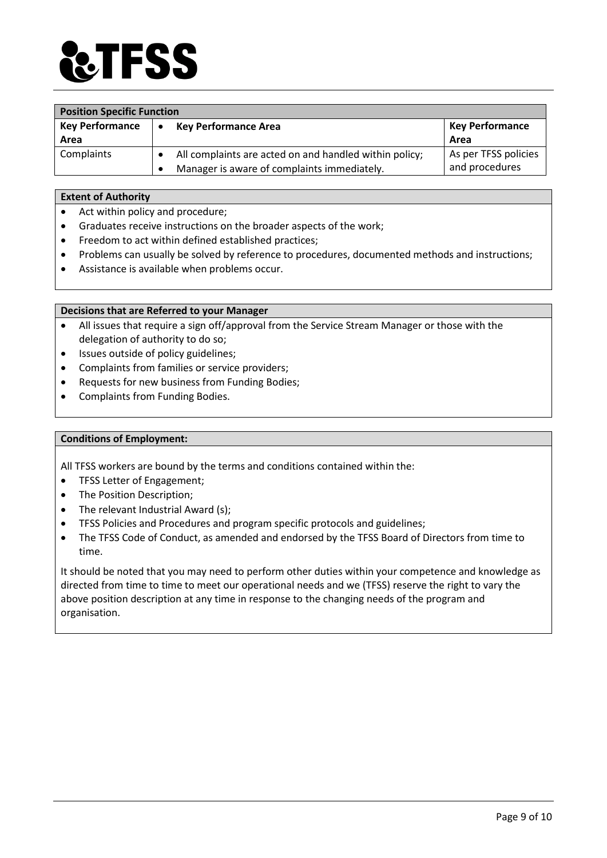

| <b>Position Specific Function</b> |                                                        |                        |
|-----------------------------------|--------------------------------------------------------|------------------------|
| <b>Key Performance</b>            | <b>Key Performance Area</b><br>$\bullet$               | <b>Key Performance</b> |
| Area                              |                                                        | Area                   |
| Complaints                        | All complaints are acted on and handled within policy; | As per TFSS policies   |
|                                   | Manager is aware of complaints immediately.            | and procedures         |

#### **Extent of Authority**

- Act within policy and procedure;
- Graduates receive instructions on the broader aspects of the work;
- Freedom to act within defined established practices;
- Problems can usually be solved by reference to procedures, documented methods and instructions;
- Assistance is available when problems occur.

#### **Decisions that are Referred to your Manager**

- All issues that require a sign off/approval from the Service Stream Manager or those with the delegation of authority to do so;
- Issues outside of policy guidelines;
- Complaints from families or service providers;
- Requests for new business from Funding Bodies;
- Complaints from Funding Bodies.

#### **Conditions of Employment:**

All TFSS workers are bound by the terms and conditions contained within the:

- TFSS Letter of Engagement;
- The Position Description;
- The relevant Industrial Award (s);
- TFSS Policies and Procedures and program specific protocols and guidelines;
- The TFSS Code of Conduct, as amended and endorsed by the TFSS Board of Directors from time to time.

It should be noted that you may need to perform other duties within your competence and knowledge as directed from time to time to meet our operational needs and we (TFSS) reserve the right to vary the above position description at any time in response to the changing needs of the program and organisation.